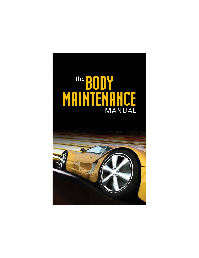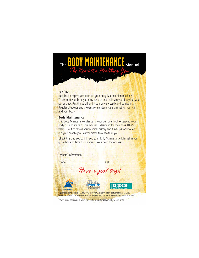### The BODY MAINTENANCE Manual The Road to a Healthier You

#### Hey Guys,

Just like an expensive sports car your body is a precision machine. To perform your best, you must service and maintain your body like your car or truck. Put things off and it can be very costly and damaging. Regular checkups and preventive maintenance is a must for your car and your body.

#### **Body Maintenance**

This Body Maintenance Manual is your personal tool to keeping your body running its best. This manual is designed for men ages 18-45 years. Use it to record your medical history and tune-ups; and to map out your health goals as you travel to a healthier you.

Check this out, you could keep your Body Maintenance Manual in your glove box and take it with you on your next doctor's visit.

| <b>Owners' Information</b>                                                                       |                                                           |                                                                                                                                                                                                                |  |
|--------------------------------------------------------------------------------------------------|-----------------------------------------------------------|----------------------------------------------------------------------------------------------------------------------------------------------------------------------------------------------------------------|--|
| Phone                                                                                            |                                                           | Cell                                                                                                                                                                                                           |  |
|                                                                                                  | Have a good trip!                                         |                                                                                                                                                                                                                |  |
| <b>CPH</b><br><b>North Carolina</b><br><b>Public Health</b>                                      | NORTH CAROLINA<br>Healthy Start<br>www.NCHealthyStart.org | 1-800-367-2229<br><b>NC Family Health Resource Line</b>                                                                                                                                                        |  |
|                                                                                                  |                                                           | Supported in part by project H5MMC10862 from the U.S. Department of Health and Human Services,<br>Health Resources and Services Administration, Matemal and Child Health Bureau (Title V, Social Security Act) |  |
| 100,000 copies of this public document were printed at a cost of \$10,274 or \$.103 each. (5/09) |                                                           |                                                                                                                                                                                                                |  |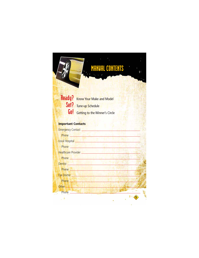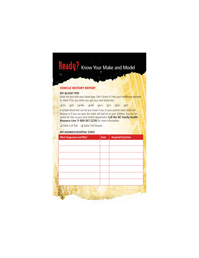## **Ready?** Know Your Make and Model

#### **VEHICLE HISTORY REPORT**

#### **MY BLOOD TYPE**

Mark the box with your blood type. Don't know it? Ask your healthcare provider to check it for you when you get your next blood test.

❏ O+ ❏ O- ❏ AB+ ❏ AB- ❏ A+ ❏ A- ❏ B+ ❏ B-

A simple blood test can let you know if you or your partner have sickle cell disease or if you can pass the sickle cell trait on to your children. You can be tested for free at your local health department. **Call the NC Family Health Resource Line (1-800-367-2229)** for more information.

❏ Sickle Cell Trait ❏ Sickle Cell Disease

#### **MY INJURIES/HOSPITAL STAYS**

| <b>Date</b> | <b>Hospital/City/State</b> |                                                                                      |
|-------------|----------------------------|--------------------------------------------------------------------------------------|
|             |                            |                                                                                      |
|             |                            |                                                                                      |
|             |                            |                                                                                      |
|             |                            |                                                                                      |
|             |                            |                                                                                      |
|             |                            |                                                                                      |
|             |                            |                                                                                      |
|             |                            |                                                                                      |
|             |                            |                                                                                      |
|             |                            |                                                                                      |
|             |                            |                                                                                      |
|             |                            |                                                                                      |
|             |                            | $\label{eq:2.1} \sqrt{2\pi\left(\frac{1}{2}\right)^{2}}\left(\frac{1}{2}\right)^{2}$ |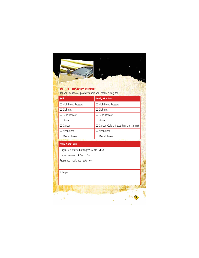

#### **VEHICLE HISTORY REPORT**

Tell your healthcare provider about your family history too.

| Self                  | <b>Family Members</b>                   |
|-----------------------|-----------------------------------------|
| High Blood Pressure   | High Blood Pressure                     |
| $\Box$ Diabetes       | $\Box$ Diabetes                         |
| $\Box$ Heart Disease  | <b>Heart Disease</b>                    |
| $\Box$ Stroke         | $\Box$ Stroke                           |
| $\Box$ Cancer         | Cancer (Colon, Breast, Prostate Cancer) |
| $\Box$ Alcoholism     | $\Box$ Alcoholism                       |
| $\Box$ Mental Illness | $\Box$ Mental Illness                   |

**3**

**Services** 

#### **More About You**

Do you feel stressed or angry? ❏ Yes ❏ No

Do you smoke? ❏ Yes ❏ No

Prescribed medicines I take now:

Allergies:

 $\mathbb{R}^{2n}$  ,  $\mathbb{R}^{n}$  . For  $\sim 20$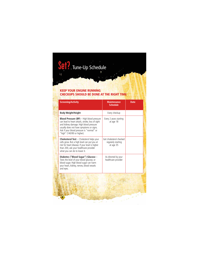## Set?, Tune-Up Schedule

 $\mathbf{H}$ 

#### **KEEP YOUR ENGINE RUNNING CHECKUPS SHOULD BE DONE AT THE RIGHT TIME**

| <b>Maintenance</b><br><b>Schedule</b>                      | <b>Date</b>                                                                         |
|------------------------------------------------------------|-------------------------------------------------------------------------------------|
| Every checkup                                              |                                                                                     |
| Every 2 years starting<br>at age 18                        |                                                                                     |
| Get cholesterol checked<br>regularly starting<br>at age 35 |                                                                                     |
| As directed by your<br>healthcare provider                 |                                                                                     |
|                                                            | $\frac{1}{2} \left( \frac{1}{2} \right)^2 \frac{1}{2} \left( \frac{1}{2} \right)^2$ |
|                                                            |                                                                                     |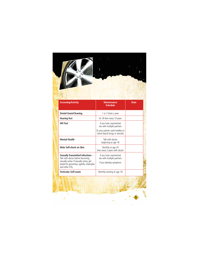

 $\mathcal{A}$  $\mathcal{F}(\mathbf{r})$ 

 $\sim$   $^3$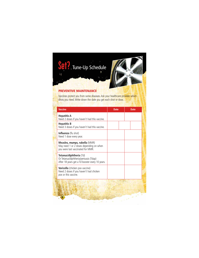# Set?. Tune-Up Schedule

#### **PREVENTIVE MAINTENANCE**

Vaccines protect you from some diseases. Ask your healthcare provider which shots you need. Write down the date you get each shot or dose.

| <b>Date</b> | Date                                     |  |
|-------------|------------------------------------------|--|
|             |                                          |  |
|             |                                          |  |
|             |                                          |  |
|             |                                          |  |
|             |                                          |  |
|             |                                          |  |
|             | $\sim e^{2\pi i \left( 2\pi \right) /2}$ |  |
|             |                                          |  |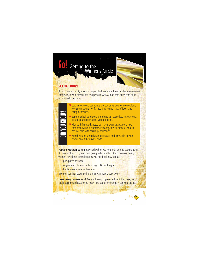

**How many passengers?** Are you having unprotected sex? If you are, you could become a dad. Are you ready? Do you use condoms? Can you say no?

 $\sim$  $\mathbf{r}$ ٠ v

**7**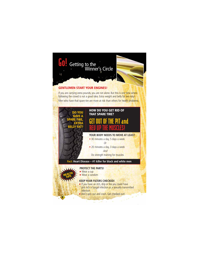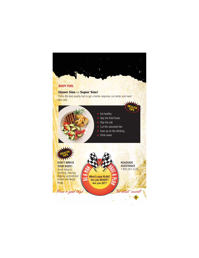